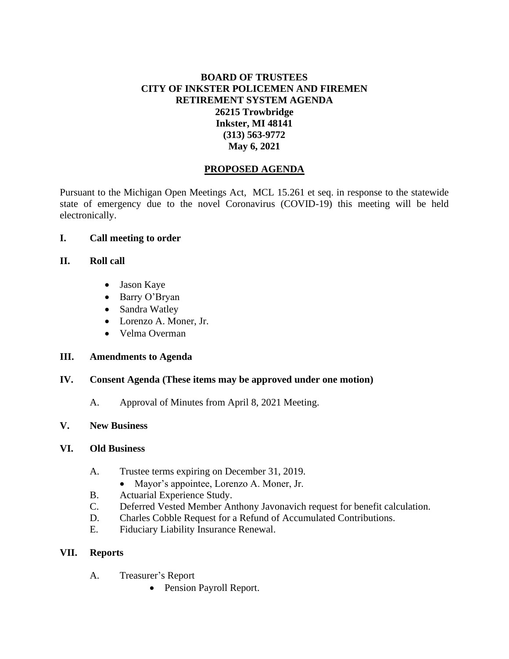# **BOARD OF TRUSTEES CITY OF INKSTER POLICEMEN AND FIREMEN RETIREMENT SYSTEM AGENDA 26215 Trowbridge Inkster, MI 48141 (313) 563-9772 May 6, 2021**

# **PROPOSED AGENDA**

Pursuant to the Michigan Open Meetings Act, MCL 15.261 et seq. in response to the statewide state of emergency due to the novel Coronavirus (COVID-19) this meeting will be held electronically.

#### **I. Call meeting to order**

#### **II. Roll call**

- Jason Kaye
- Barry O'Bryan
- Sandra Watley
- Lorenzo A. Moner, Jr.
- Velma Overman

## **III. Amendments to Agenda**

## **IV. Consent Agenda (These items may be approved under one motion)**

A. Approval of Minutes from April 8, 2021 Meeting.

## **V. New Business**

#### **VI. Old Business**

- A. Trustee terms expiring on December 31, 2019.
	- Mayor's appointee, Lorenzo A. Moner, Jr.
- B. Actuarial Experience Study.
- C. Deferred Vested Member Anthony Javonavich request for benefit calculation.
- D. Charles Cobble Request for a Refund of Accumulated Contributions.
- E. Fiduciary Liability Insurance Renewal.

## **VII. Reports**

- A. Treasurer's Report
	- Pension Payroll Report.